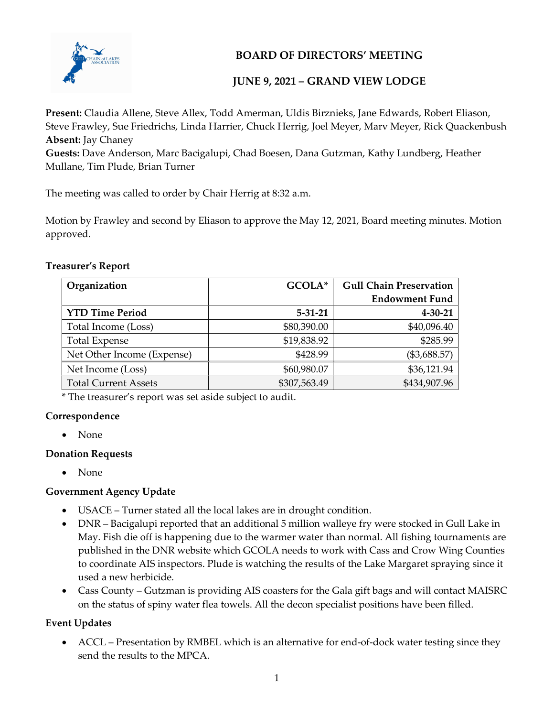

# BOARD OF DIRECTORS' MEETING

# JUNE 9, 2021 – GRAND VIEW LODGE

Present: Claudia Allene, Steve Allex, Todd Amerman, Uldis Birznieks, Jane Edwards, Robert Eliason, Steve Frawley, Sue Friedrichs, Linda Harrier, Chuck Herrig, Joel Meyer, Marv Meyer, Rick Quackenbush Absent: Jay Chaney

Guests: Dave Anderson, Marc Bacigalupi, Chad Boesen, Dana Gutzman, Kathy Lundberg, Heather Mullane, Tim Plude, Brian Turner

The meeting was called to order by Chair Herrig at 8:32 a.m.

Motion by Frawley and second by Eliason to approve the May 12, 2021, Board meeting minutes. Motion approved.

#### Treasurer's Report

| Organization                | GCOLA*        | <b>Gull Chain Preservation</b> |
|-----------------------------|---------------|--------------------------------|
|                             |               | <b>Endowment Fund</b>          |
| <b>YTD Time Period</b>      | $5 - 31 - 21$ | $4 - 30 - 21$                  |
| Total Income (Loss)         | \$80,390.00   | \$40,096.40                    |
| <b>Total Expense</b>        | \$19,838.92   | \$285.99                       |
| Net Other Income (Expense)  | \$428.99      | (\$3,688.57)                   |
| Net Income (Loss)           | \$60,980.07   | \$36,121.94                    |
| <b>Total Current Assets</b> | \$307,563.49  | \$434,907.96                   |

\* The treasurer's report was set aside subject to audit.

#### Correspondence

• None

#### Donation Requests

• None

#### Government Agency Update

- USACE Turner stated all the local lakes are in drought condition.
- DNR Bacigalupi reported that an additional 5 million walleye fry were stocked in Gull Lake in May. Fish die off is happening due to the warmer water than normal. All fishing tournaments are published in the DNR website which GCOLA needs to work with Cass and Crow Wing Counties to coordinate AIS inspectors. Plude is watching the results of the Lake Margaret spraying since it used a new herbicide.
- Cass County Gutzman is providing AIS coasters for the Gala gift bags and will contact MAISRC on the status of spiny water flea towels. All the decon specialist positions have been filled.

#### Event Updates

 ACCL – Presentation by RMBEL which is an alternative for end-of-dock water testing since they send the results to the MPCA.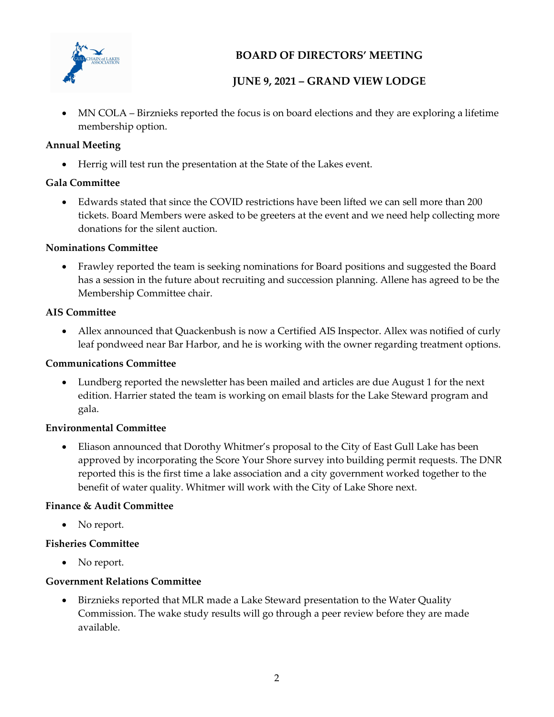

# BOARD OF DIRECTORS' MEETING

# JUNE 9, 2021 – GRAND VIEW LODGE

 MN COLA – Birznieks reported the focus is on board elections and they are exploring a lifetime membership option.

#### Annual Meeting

Herrig will test run the presentation at the State of the Lakes event.

### Gala Committee

 Edwards stated that since the COVID restrictions have been lifted we can sell more than 200 tickets. Board Members were asked to be greeters at the event and we need help collecting more donations for the silent auction.

### Nominations Committee

 Frawley reported the team is seeking nominations for Board positions and suggested the Board has a session in the future about recruiting and succession planning. Allene has agreed to be the Membership Committee chair.

#### AIS Committee

 Allex announced that Quackenbush is now a Certified AIS Inspector. Allex was notified of curly leaf pondweed near Bar Harbor, and he is working with the owner regarding treatment options.

### Communications Committee

 Lundberg reported the newsletter has been mailed and articles are due August 1 for the next edition. Harrier stated the team is working on email blasts for the Lake Steward program and gala.

#### Environmental Committee

 Eliason announced that Dorothy Whitmer's proposal to the City of East Gull Lake has been approved by incorporating the Score Your Shore survey into building permit requests. The DNR reported this is the first time a lake association and a city government worked together to the benefit of water quality. Whitmer will work with the City of Lake Shore next.

### Finance & Audit Committee

• No report.

#### Fisheries Committee

• No report.

#### Government Relations Committee

 Birznieks reported that MLR made a Lake Steward presentation to the Water Quality Commission. The wake study results will go through a peer review before they are made available.